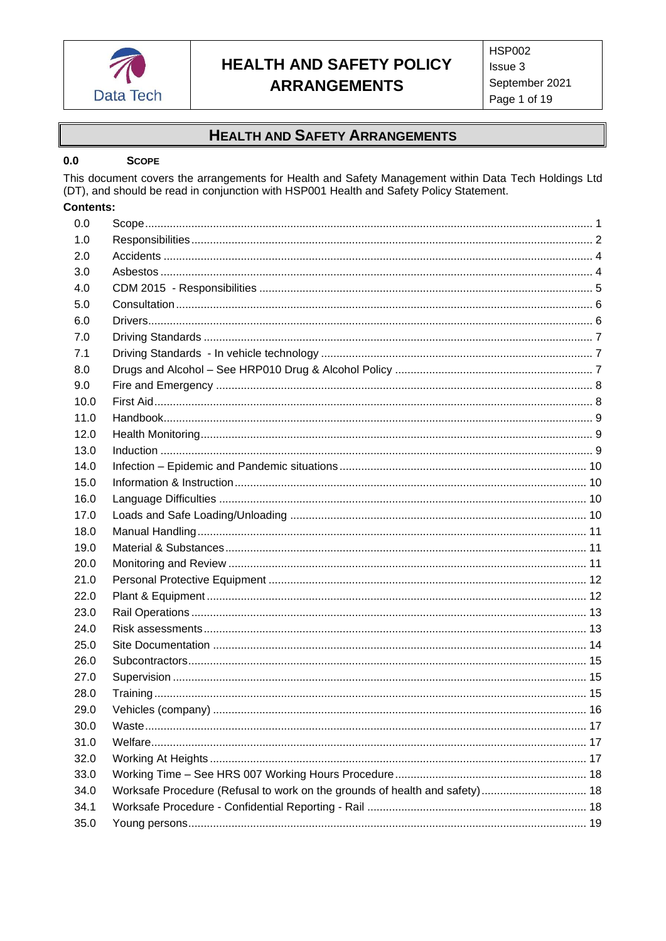

## **HEALTH AND SAFETY ARRANGEMENTS**

#### <span id="page-0-0"></span> $0.0\,$ **SCOPE**

This document covers the arrangements for Health and Safety Management within Data Tech Holdings Ltd (DT), and should be read in conjunction with HSP001 Health and Safety Policy Statement.

### **Contents:**

| 0.0  |                                                                             |  |
|------|-----------------------------------------------------------------------------|--|
| 1.0  |                                                                             |  |
| 2.0  |                                                                             |  |
| 3.0  |                                                                             |  |
| 4.0  |                                                                             |  |
| 5.0  |                                                                             |  |
| 6.0  |                                                                             |  |
| 7.0  |                                                                             |  |
| 7.1  |                                                                             |  |
| 8.0  |                                                                             |  |
| 9.0  |                                                                             |  |
| 10.0 |                                                                             |  |
| 11.0 |                                                                             |  |
| 12.0 |                                                                             |  |
| 13.0 |                                                                             |  |
| 14.0 |                                                                             |  |
| 15.0 |                                                                             |  |
| 16.0 |                                                                             |  |
| 17.0 |                                                                             |  |
| 18.0 |                                                                             |  |
| 19.0 |                                                                             |  |
| 20.0 |                                                                             |  |
| 21.0 |                                                                             |  |
| 22.0 |                                                                             |  |
| 23.0 |                                                                             |  |
| 24.0 |                                                                             |  |
| 25.0 |                                                                             |  |
| 26.0 |                                                                             |  |
| 27.0 |                                                                             |  |
| 28.0 |                                                                             |  |
| 29.0 |                                                                             |  |
| 30.0 |                                                                             |  |
| 31.0 |                                                                             |  |
| 32.0 |                                                                             |  |
| 33.0 |                                                                             |  |
| 34.0 | Worksafe Procedure (Refusal to work on the grounds of health and safety) 18 |  |
| 34.1 |                                                                             |  |
| 35.0 |                                                                             |  |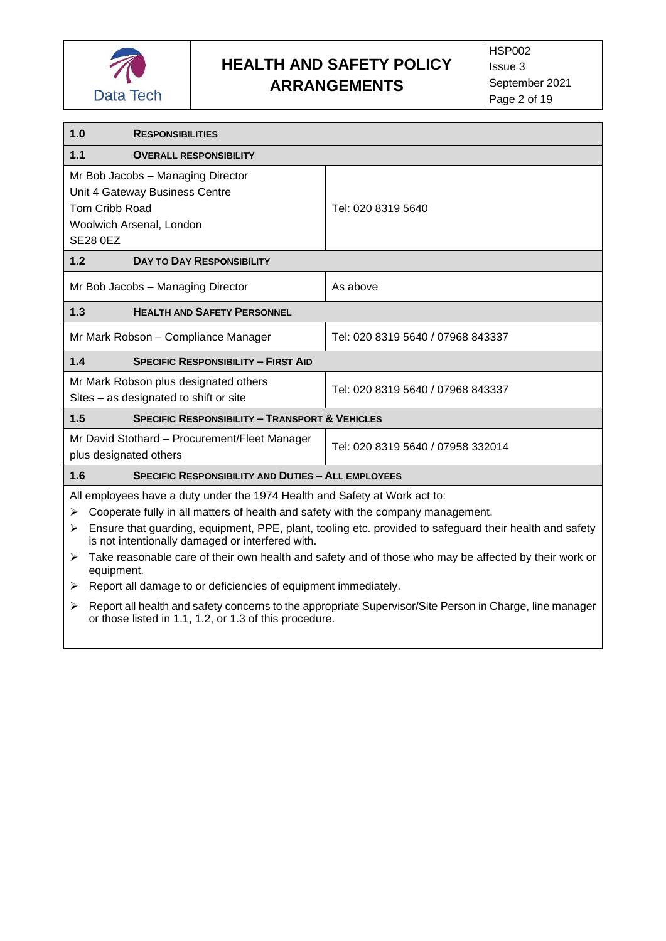

<span id="page-1-0"></span>

| 1.0                                                                                                                                                                                                                                                                                                                                                                                                                                                                                                                                        | <b>RESPONSIBILITIES</b>                                                                                      |                    |  |
|--------------------------------------------------------------------------------------------------------------------------------------------------------------------------------------------------------------------------------------------------------------------------------------------------------------------------------------------------------------------------------------------------------------------------------------------------------------------------------------------------------------------------------------------|--------------------------------------------------------------------------------------------------------------|--------------------|--|
| 1.1                                                                                                                                                                                                                                                                                                                                                                                                                                                                                                                                        | <b>OVERALL RESPONSIBILITY</b>                                                                                |                    |  |
| Mr Bob Jacobs - Managing Director<br>Unit 4 Gateway Business Centre<br><b>Tom Cribb Road</b><br>Woolwich Arsenal, London<br><b>SE28 0EZ</b>                                                                                                                                                                                                                                                                                                                                                                                                |                                                                                                              | Tel: 020 8319 5640 |  |
| 1.2                                                                                                                                                                                                                                                                                                                                                                                                                                                                                                                                        | <b>DAY TO DAY RESPONSIBILITY</b>                                                                             |                    |  |
|                                                                                                                                                                                                                                                                                                                                                                                                                                                                                                                                            | Mr Bob Jacobs - Managing Director                                                                            | As above           |  |
| 1.3                                                                                                                                                                                                                                                                                                                                                                                                                                                                                                                                        | <b>HEALTH AND SAFETY PERSONNEL</b>                                                                           |                    |  |
|                                                                                                                                                                                                                                                                                                                                                                                                                                                                                                                                            | Tel: 020 8319 5640 / 07968 843337<br>Mr Mark Robson - Compliance Manager                                     |                    |  |
| 1.4                                                                                                                                                                                                                                                                                                                                                                                                                                                                                                                                        | <b>SPECIFIC RESPONSIBILITY - FIRST AID</b>                                                                   |                    |  |
| Mr Mark Robson plus designated others<br>Tel: 020 8319 5640 / 07968 843337<br>Sites - as designated to shift or site                                                                                                                                                                                                                                                                                                                                                                                                                       |                                                                                                              |                    |  |
| 1.5                                                                                                                                                                                                                                                                                                                                                                                                                                                                                                                                        | <b>SPECIFIC RESPONSIBILITY - TRANSPORT &amp; VEHICLES</b>                                                    |                    |  |
|                                                                                                                                                                                                                                                                                                                                                                                                                                                                                                                                            | Mr David Stothard - Procurement/Fleet Manager<br>Tel: 020 8319 5640 / 07958 332014<br>plus designated others |                    |  |
| 1.6                                                                                                                                                                                                                                                                                                                                                                                                                                                                                                                                        | <b>SPECIFIC RESPONSIBILITY AND DUTIES - ALL EMPLOYEES</b>                                                    |                    |  |
| All employees have a duty under the 1974 Health and Safety at Work act to:<br>Cooperate fully in all matters of health and safety with the company management.<br>≻<br>Ensure that guarding, equipment, PPE, plant, tooling etc. provided to safeguard their health and safety<br>⋗<br>is not intentionally damaged or interfered with.<br>Take reasonable care of their own health and safety and of those who may be affected by their work or<br>➤<br>equipment.<br>Report all damage to or deficiencies of equipment immediately.<br>≻ |                                                                                                              |                    |  |

➢ Report all health and safety concerns to the appropriate Supervisor/Site Person in Charge, line manager or those listed in 1.1, 1.2, or 1.3 of this procedure.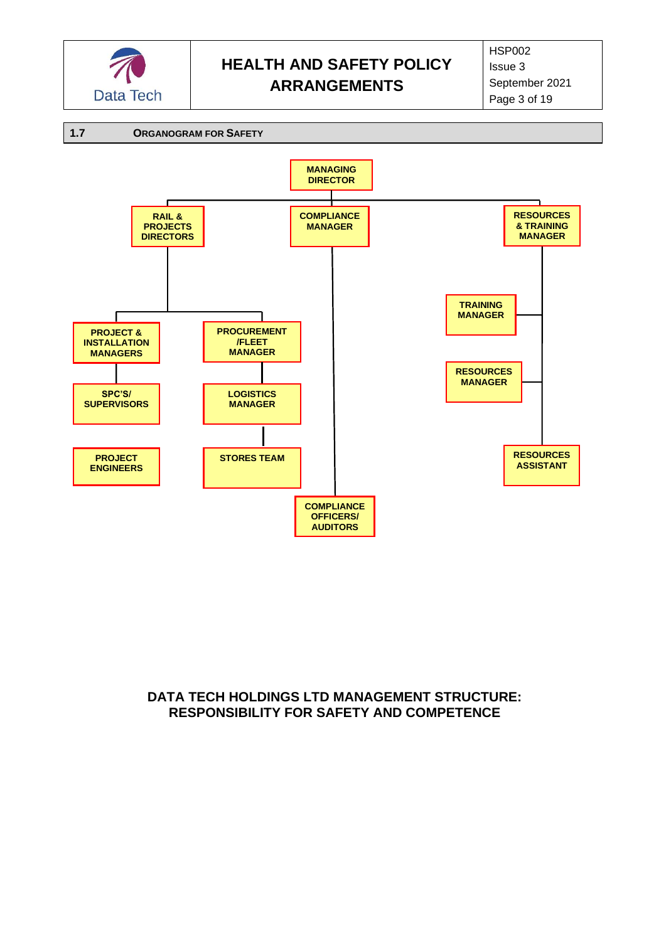



## **DATA TECH HOLDINGS LTD MANAGEMENT STRUCTURE: RESPONSIBILITY FOR SAFETY AND COMPETENCE**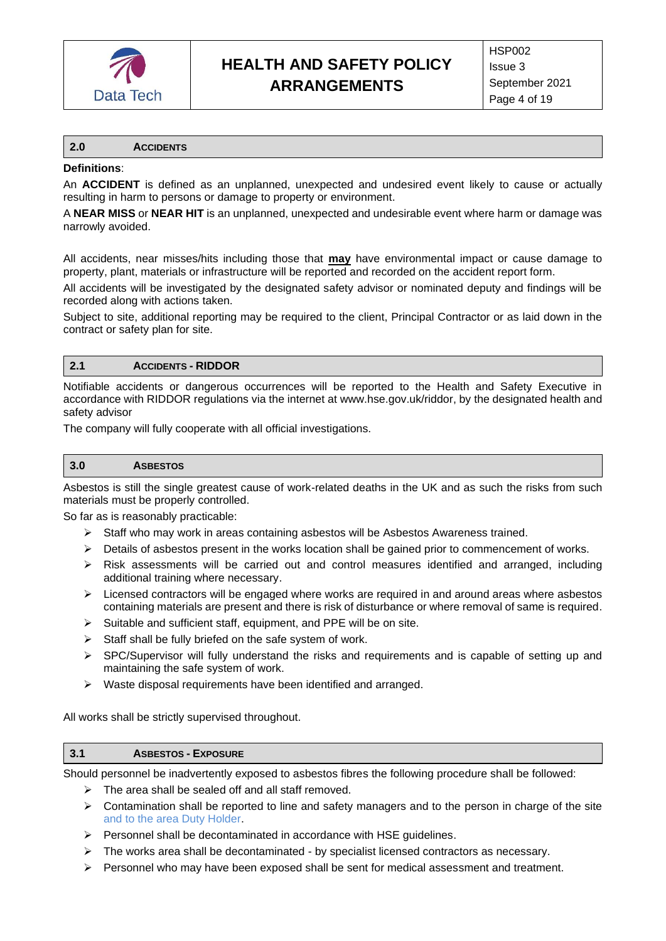

#### <span id="page-3-0"></span>**2.0 ACCIDENTS**

#### **Definitions**:

An **ACCIDENT** is defined as an unplanned, unexpected and undesired event likely to cause or actually resulting in harm to persons or damage to property or environment.

A **NEAR MISS** or **NEAR HIT** is an unplanned, unexpected and undesirable event where harm or damage was narrowly avoided.

All accidents, near misses/hits including those that **may** have environmental impact or cause damage to property, plant, materials or infrastructure will be reported and recorded on the accident report form.

All accidents will be investigated by the designated safety advisor or nominated deputy and findings will be recorded along with actions taken.

Subject to site, additional reporting may be required to the client, Principal Contractor or as laid down in the contract or safety plan for site.

### **2.1 ACCIDENTS - RIDDOR**

Notifiable accidents or dangerous occurrences will be reported to the Health and Safety Executive in accordance with RIDDOR regulations via the internet at www.hse.gov.uk/riddor, by the designated health and safety advisor

The company will fully cooperate with all official investigations.

#### <span id="page-3-1"></span>**3.0 ASBESTOS**

Asbestos is still the single greatest cause of work-related deaths in the UK and as such the risks from such materials must be properly controlled.

So far as is reasonably practicable:

- $\triangleright$  Staff who may work in areas containing asbestos will be Asbestos Awareness trained.
- ➢ Details of asbestos present in the works location shall be gained prior to commencement of works.
- $\triangleright$  Risk assessments will be carried out and control measures identified and arranged, including additional training where necessary.
- $\triangleright$  Licensed contractors will be engaged where works are required in and around areas where asbestos containing materials are present and there is risk of disturbance or where removal of same is required.
- $\triangleright$  Suitable and sufficient staff, equipment, and PPE will be on site.
- $\triangleright$  Staff shall be fully briefed on the safe system of work.
- $\triangleright$  SPC/Supervisor will fully understand the risks and requirements and is capable of setting up and maintaining the safe system of work.
- ➢ Waste disposal requirements have been identified and arranged.

All works shall be strictly supervised throughout.

#### **3.1 ASBESTOS - EXPOSURE**

Should personnel be inadvertently exposed to asbestos fibres the following procedure shall be followed:

- ➢ The area shall be sealed off and all staff removed.
- $\triangleright$  Contamination shall be reported to line and safety managers and to the person in charge of the site and to the area Duty Holder.
- ➢ Personnel shall be decontaminated in accordance with HSE guidelines.
- $\triangleright$  The works area shall be decontaminated by specialist licensed contractors as necessary.
- $\triangleright$  Personnel who may have been exposed shall be sent for medical assessment and treatment.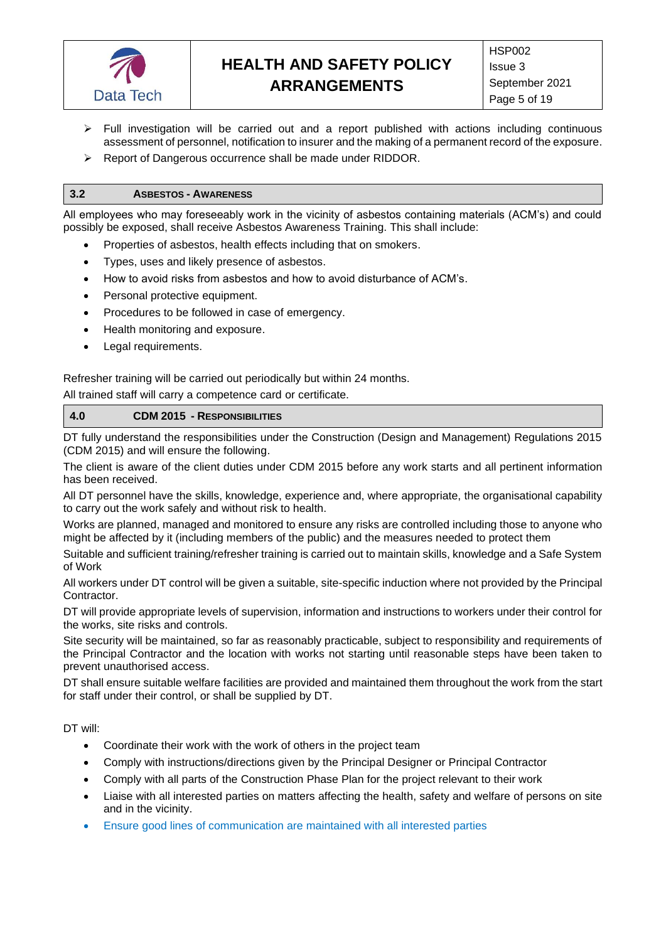

- $\triangleright$  Full investigation will be carried out and a report published with actions including continuous assessment of personnel, notification to insurer and the making of a permanent record of the exposure.
- ➢ Report of Dangerous occurrence shall be made under RIDDOR.

#### **3.2 ASBESTOS - AWARENESS**

All employees who may foreseeably work in the vicinity of asbestos containing materials (ACM's) and could possibly be exposed, shall receive Asbestos Awareness Training. This shall include:

- Properties of asbestos, health effects including that on smokers.
- Types, uses and likely presence of asbestos.
- How to avoid risks from asbestos and how to avoid disturbance of ACM's.
- Personal protective equipment.
- Procedures to be followed in case of emergency.
- Health monitoring and exposure.
- Legal requirements.

Refresher training will be carried out periodically but within 24 months.

All trained staff will carry a competence card or certificate.

#### <span id="page-4-0"></span>**4.0 CDM 2015 - RESPONSIBILITIES**

DT fully understand the responsibilities under the Construction (Design and Management) Regulations 2015 (CDM 2015) and will ensure the following.

The client is aware of the client duties under CDM 2015 before any work starts and all pertinent information has been received.

All DT personnel have the skills, knowledge, experience and, where appropriate, the organisational capability to carry out the work safely and without risk to health.

Works are planned, managed and monitored to ensure any risks are controlled including those to anyone who might be affected by it (including members of the public) and the measures needed to protect them

Suitable and sufficient training/refresher training is carried out to maintain skills, knowledge and a Safe System of Work

All workers under DT control will be given a suitable, site-specific induction where not provided by the Principal Contractor.

DT will provide appropriate levels of supervision, information and instructions to workers under their control for the works, site risks and controls.

Site security will be maintained, so far as reasonably practicable, subject to responsibility and requirements of the Principal Contractor and the location with works not starting until reasonable steps have been taken to prevent unauthorised access.

DT shall ensure suitable welfare facilities are provided and maintained them throughout the work from the start for staff under their control, or shall be supplied by DT.

DT will:

- Coordinate their work with the work of others in the project team
- Comply with instructions/directions given by the Principal Designer or Principal Contractor
- Comply with all parts of the Construction Phase Plan for the project relevant to their work
- Liaise with all interested parties on matters affecting the health, safety and welfare of persons on site and in the vicinity.
- Ensure good lines of communication are maintained with all interested parties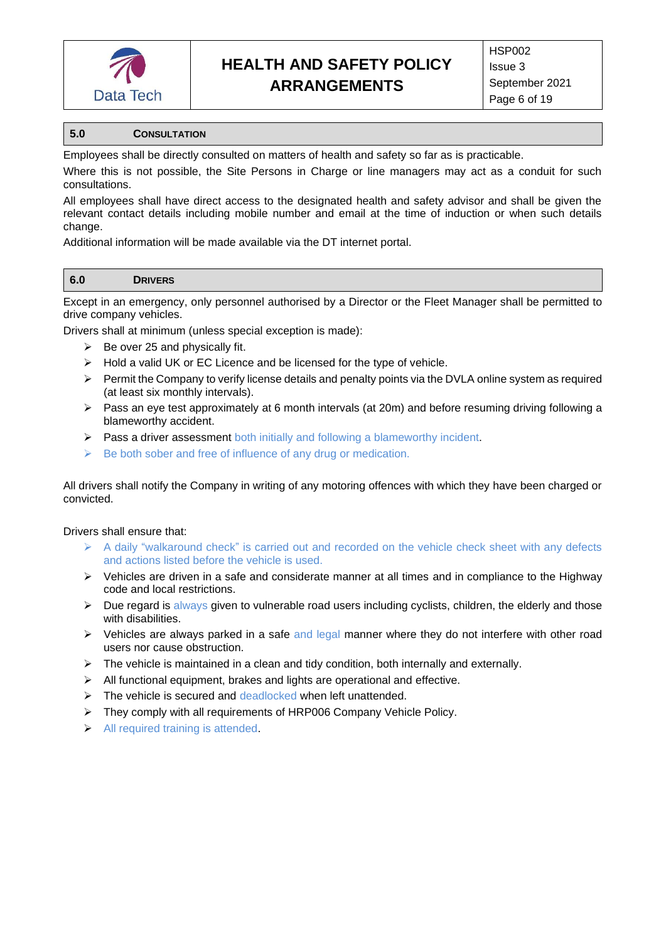

#### <span id="page-5-0"></span>**5.0 CONSULTATION**

Employees shall be directly consulted on matters of health and safety so far as is practicable.

Where this is not possible, the Site Persons in Charge or line managers may act as a conduit for such consultations.

All employees shall have direct access to the designated health and safety advisor and shall be given the relevant contact details including mobile number and email at the time of induction or when such details change.

Additional information will be made available via the DT internet portal.

<span id="page-5-1"></span>

Except in an emergency, only personnel authorised by a Director or the Fleet Manager shall be permitted to drive company vehicles.

Drivers shall at minimum (unless special exception is made):

- $\triangleright$  Be over 25 and physically fit.
- ➢ Hold a valid UK or EC Licence and be licensed for the type of vehicle.
- $\triangleright$  Permit the Company to verify license details and penalty points via the DVLA online system as required (at least six monthly intervals).
- $\triangleright$  Pass an eye test approximately at 6 month intervals (at 20m) and before resuming driving following a blameworthy accident.
- ➢ Pass a driver assessment both initially and following a blameworthy incident.
- $\triangleright$  Be both sober and free of influence of any drug or medication.

All drivers shall notify the Company in writing of any motoring offences with which they have been charged or convicted.

#### Drivers shall ensure that:

- $\triangleright$  A daily "walkaround check" is carried out and recorded on the vehicle check sheet with any defects and actions listed before the vehicle is used.
- $\triangleright$  Vehicles are driven in a safe and considerate manner at all times and in compliance to the Highway code and local restrictions.
- $\triangleright$  Due regard is always given to vulnerable road users including cyclists, children, the elderly and those with disabilities.
- $\triangleright$  Vehicles are always parked in a safe and legal manner where they do not interfere with other road users nor cause obstruction.
- $\triangleright$  The vehicle is maintained in a clean and tidy condition, both internally and externally.
- ➢ All functional equipment, brakes and lights are operational and effective.
- ➢ The vehicle is secured and deadlocked when left unattended.
- ➢ They comply with all requirements of HRP006 Company Vehicle Policy.
- ➢ All required training is attended.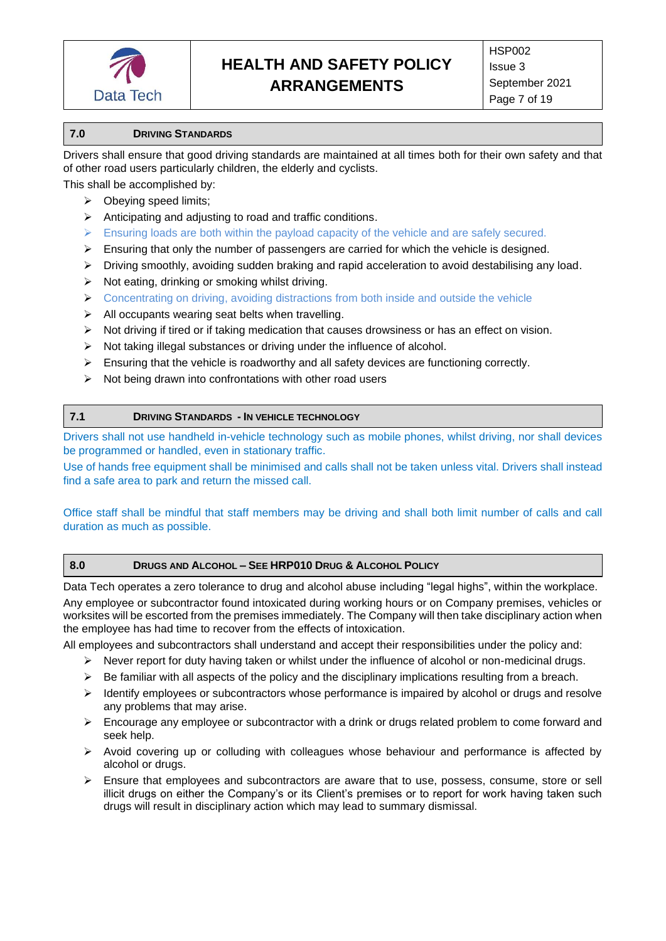

#### <span id="page-6-0"></span>**7.0 DRIVING STANDARDS**

Drivers shall ensure that good driving standards are maintained at all times both for their own safety and that of other road users particularly children, the elderly and cyclists.

This shall be accomplished by:

- $\triangleright$  Obeying speed limits;
- ➢ Anticipating and adjusting to road and traffic conditions.
- $\triangleright$  Ensuring loads are both within the payload capacity of the vehicle and are safely secured.
- $\triangleright$  Ensuring that only the number of passengers are carried for which the vehicle is designed.
- $\triangleright$  Driving smoothly, avoiding sudden braking and rapid acceleration to avoid destabilising any load.
- $\triangleright$  Not eating, drinking or smoking whilst driving.
- $\triangleright$  Concentrating on driving, avoiding distractions from both inside and outside the vehicle
- $\triangleright$  All occupants wearing seat belts when travelling.
- ➢ Not driving if tired or if taking medication that causes drowsiness or has an effect on vision.
- ➢ Not taking illegal substances or driving under the influence of alcohol.
- $\triangleright$  Ensuring that the vehicle is roadworthy and all safety devices are functioning correctly.
- ➢ Not being drawn into confrontations with other road users

#### <span id="page-6-1"></span>**7.1 DRIVING STANDARDS - IN VEHICLE TECHNOLOGY**

Drivers shall not use handheld in-vehicle technology such as mobile phones, whilst driving, nor shall devices be programmed or handled, even in stationary traffic.

Use of hands free equipment shall be minimised and calls shall not be taken unless vital. Drivers shall instead find a safe area to park and return the missed call.

Office staff shall be mindful that staff members may be driving and shall both limit number of calls and call duration as much as possible.

#### <span id="page-6-2"></span>**8.0 DRUGS AND ALCOHOL – SEE HRP010 DRUG & ALCOHOL POLICY**

Data Tech operates a zero tolerance to drug and alcohol abuse including "legal highs", within the workplace. Any employee or subcontractor found intoxicated during working hours or on Company premises, vehicles or worksites will be escorted from the premises immediately. The Company will then take disciplinary action when the employee has had time to recover from the effects of intoxication.

All employees and subcontractors shall understand and accept their responsibilities under the policy and:

- ➢ Never report for duty having taken or whilst under the influence of alcohol or non-medicinal drugs.
- $\triangleright$  Be familiar with all aspects of the policy and the disciplinary implications resulting from a breach.
- ➢ Identify employees or subcontractors whose performance is impaired by alcohol or drugs and resolve any problems that may arise.
- ➢ Encourage any employee or subcontractor with a drink or drugs related problem to come forward and seek help.
- ➢ Avoid covering up or colluding with colleagues whose behaviour and performance is affected by alcohol or drugs.
- $\triangleright$  Ensure that employees and subcontractors are aware that to use, possess, consume, store or sell illicit drugs on either the Company's or its Client's premises or to report for work having taken such drugs will result in disciplinary action which may lead to summary dismissal.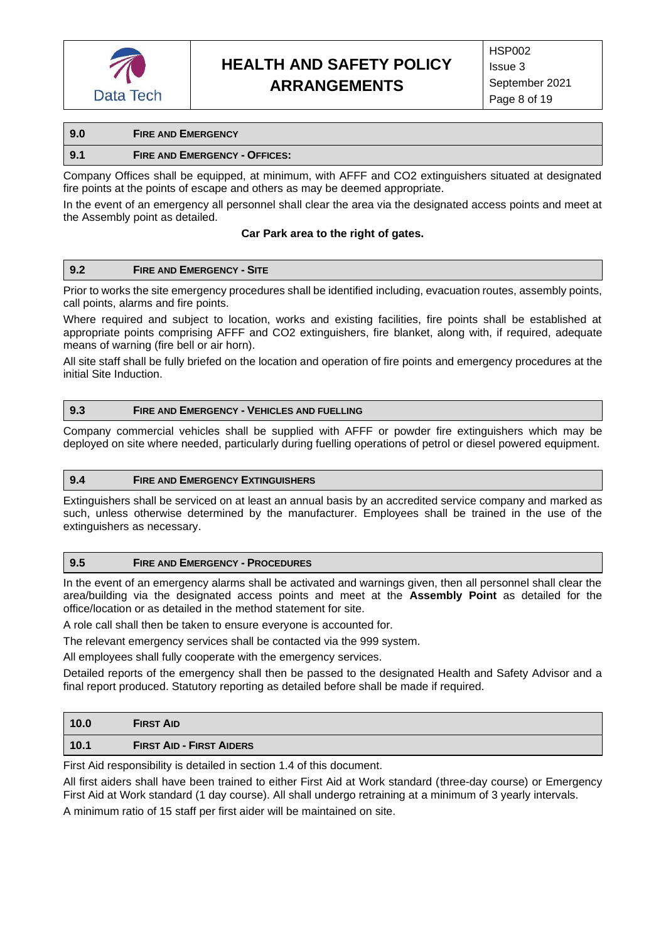

## <span id="page-7-0"></span>**9.0 FIRE AND EMERGENCY 9.1 FIRE AND EMERGENCY - OFFICES:**

Company Offices shall be equipped, at minimum, with AFFF and CO2 extinguishers situated at designated fire points at the points of escape and others as may be deemed appropriate.

In the event of an emergency all personnel shall clear the area via the designated access points and meet at the Assembly point as detailed.

#### **Car Park area to the right of gates.**

#### **9.2 FIRE AND EMERGENCY - SITE**

Prior to works the site emergency procedures shall be identified including, evacuation routes, assembly points, call points, alarms and fire points.

Where required and subject to location, works and existing facilities, fire points shall be established at appropriate points comprising AFFF and CO2 extinguishers, fire blanket, along with, if required, adequate means of warning (fire bell or air horn).

All site staff shall be fully briefed on the location and operation of fire points and emergency procedures at the initial Site Induction.

#### **9.3 FIRE AND EMERGENCY - VEHICLES AND FUELLING**

Company commercial vehicles shall be supplied with AFFF or powder fire extinguishers which may be deployed on site where needed, particularly during fuelling operations of petrol or diesel powered equipment.

#### **9.4 FIRE AND EMERGENCY EXTINGUISHERS**

Extinguishers shall be serviced on at least an annual basis by an accredited service company and marked as such, unless otherwise determined by the manufacturer. Employees shall be trained in the use of the extinguishers as necessary.

#### **9.5 FIRE AND EMERGENCY - PROCEDURES**

In the event of an emergency alarms shall be activated and warnings given, then all personnel shall clear the area/building via the designated access points and meet at the **Assembly Point** as detailed for the office/location or as detailed in the method statement for site.

A role call shall then be taken to ensure everyone is accounted for.

The relevant emergency services shall be contacted via the 999 system.

All employees shall fully cooperate with the emergency services.

Detailed reports of the emergency shall then be passed to the designated Health and Safety Advisor and a final report produced. Statutory reporting as detailed before shall be made if required.

<span id="page-7-1"></span>

| 10.0 | <b>FIRST AID</b>                |
|------|---------------------------------|
| 10.1 | <b>FIRST AID - FIRST AIDERS</b> |

First Aid responsibility is detailed in section 1.4 of this document.

All first aiders shall have been trained to either First Aid at Work standard (three-day course) or Emergency First Aid at Work standard (1 day course). All shall undergo retraining at a minimum of 3 yearly intervals.

A minimum ratio of 15 staff per first aider will be maintained on site.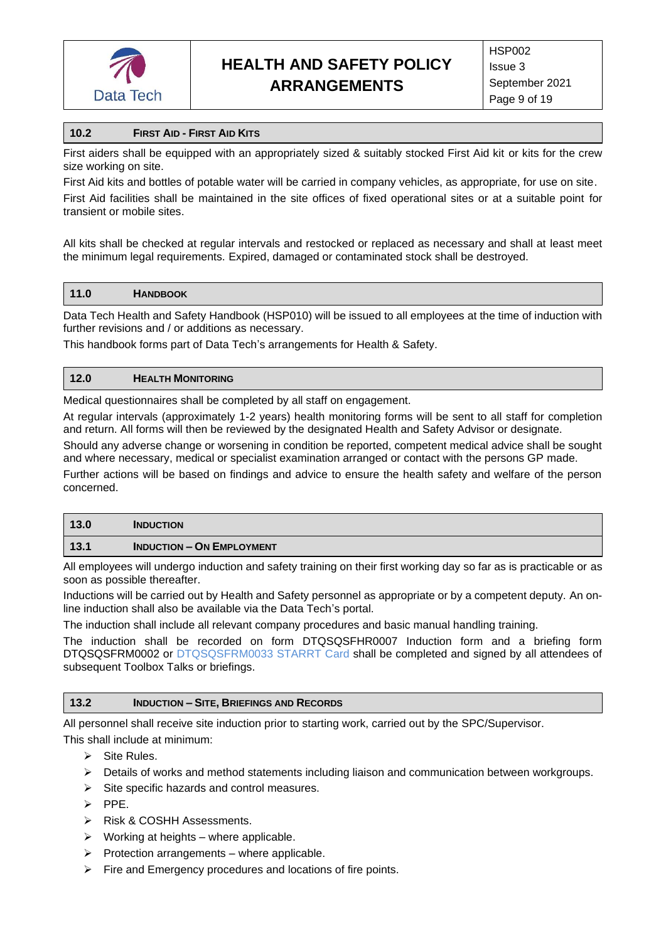

### **10.2 FIRST AID - FIRST AID KITS**

First aiders shall be equipped with an appropriately sized & suitably stocked First Aid kit or kits for the crew size working on site.

First Aid kits and bottles of potable water will be carried in company vehicles, as appropriate, for use on site.

First Aid facilities shall be maintained in the site offices of fixed operational sites or at a suitable point for transient or mobile sites.

All kits shall be checked at regular intervals and restocked or replaced as necessary and shall at least meet the minimum legal requirements. Expired, damaged or contaminated stock shall be destroyed.

#### <span id="page-8-0"></span>**11.0 HANDBOOK**

Data Tech Health and Safety Handbook (HSP010) will be issued to all employees at the time of induction with further revisions and / or additions as necessary.

This handbook forms part of Data Tech's arrangements for Health & Safety.

#### <span id="page-8-1"></span>**12.0 HEALTH MONITORING**

Medical questionnaires shall be completed by all staff on engagement.

At regular intervals (approximately 1-2 years) health monitoring forms will be sent to all staff for completion and return. All forms will then be reviewed by the designated Health and Safety Advisor or designate.

Should any adverse change or worsening in condition be reported, competent medical advice shall be sought and where necessary, medical or specialist examination arranged or contact with the persons GP made.

Further actions will be based on findings and advice to ensure the health safety and welfare of the person concerned.

<span id="page-8-2"></span>

| 13.0 | <b>INDUCTION</b>                 |
|------|----------------------------------|
| 13.1 | <b>INDUCTION - ON EMPLOYMENT</b> |

All employees will undergo induction and safety training on their first working day so far as is practicable or as soon as possible thereafter.

Inductions will be carried out by Health and Safety personnel as appropriate or by a competent deputy. An online induction shall also be available via the Data Tech's portal.

The induction shall include all relevant company procedures and basic manual handling training.

The induction shall be recorded on form DTQSQSFHR0007 Induction form and a briefing form DTQSQSFRM0002 or DTQSQSFRM0033 STARRT Card shall be completed and signed by all attendees of subsequent Toolbox Talks or briefings.

#### **13.2 INDUCTION – SITE, BRIEFINGS AND RECORDS**

All personnel shall receive site induction prior to starting work, carried out by the SPC/Supervisor.

This shall include at minimum:

- ➢ Site Rules.
- ➢ Details of works and method statements including liaison and communication between workgroups.
- ➢ Site specific hazards and control measures.
- ➢ PPE.
- ➢ Risk & COSHH Assessments.
- $\triangleright$  Working at heights where applicable.
- $\triangleright$  Protection arrangements where applicable.
- ➢ Fire and Emergency procedures and locations of fire points.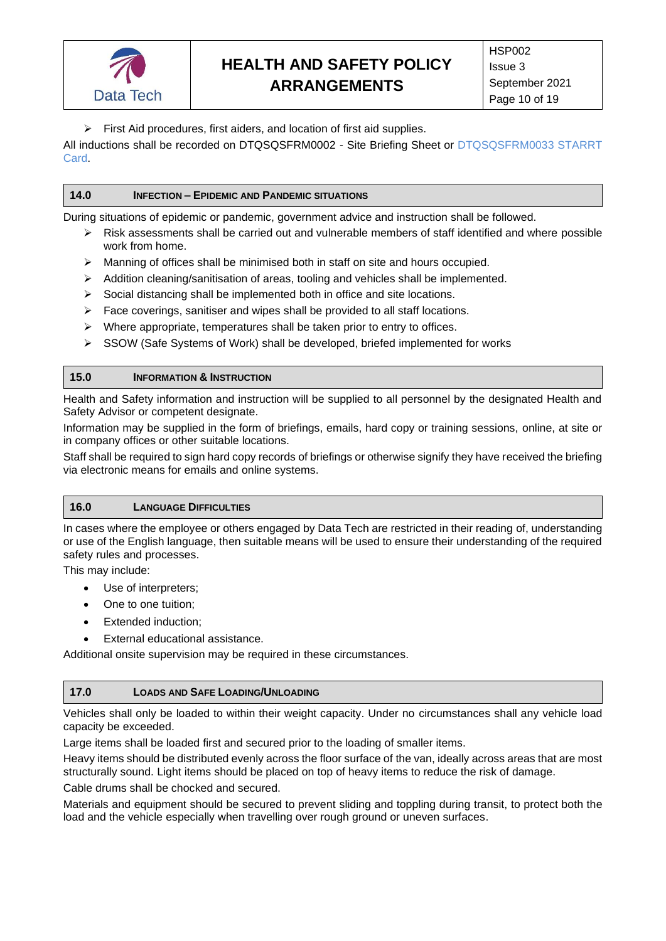

➢ First Aid procedures, first aiders, and location of first aid supplies.

All inductions shall be recorded on DTQSQSFRM0002 - Site Briefing Sheet or DTQSQSFRM0033 STARRT Card.

#### <span id="page-9-0"></span>**14.0 INFECTION – EPIDEMIC AND PANDEMIC SITUATIONS**

During situations of epidemic or pandemic, government advice and instruction shall be followed.

- $\triangleright$  Risk assessments shall be carried out and vulnerable members of staff identified and where possible work from home.
- ➢ Manning of offices shall be minimised both in staff on site and hours occupied.
- $\triangleright$  Addition cleaning/sanitisation of areas, tooling and vehicles shall be implemented.
- $\triangleright$  Social distancing shall be implemented both in office and site locations.
- ➢ Face coverings, sanitiser and wipes shall be provided to all staff locations.
- ➢ Where appropriate, temperatures shall be taken prior to entry to offices.
- ➢ SSOW (Safe Systems of Work) shall be developed, briefed implemented for works

#### <span id="page-9-1"></span>**15.0 INFORMATION & INSTRUCTION**

Health and Safety information and instruction will be supplied to all personnel by the designated Health and Safety Advisor or competent designate.

Information may be supplied in the form of briefings, emails, hard copy or training sessions, online, at site or in company offices or other suitable locations.

Staff shall be required to sign hard copy records of briefings or otherwise signify they have received the briefing via electronic means for emails and online systems.

#### <span id="page-9-2"></span>**16.0 LANGUAGE DIFFICULTIES**

In cases where the employee or others engaged by Data Tech are restricted in their reading of, understanding or use of the English language, then suitable means will be used to ensure their understanding of the required safety rules and processes.

This may include:

- Use of interpreters;
- One to one tuition;
- Extended induction;
- External educational assistance.

Additional onsite supervision may be required in these circumstances.

#### <span id="page-9-3"></span>**17.0 LOADS AND SAFE LOADING/UNLOADING**

Vehicles shall only be loaded to within their weight capacity. Under no circumstances shall any vehicle load capacity be exceeded.

Large items shall be loaded first and secured prior to the loading of smaller items.

Heavy items should be distributed evenly across the floor surface of the van, ideally across areas that are most structurally sound. Light items should be placed on top of heavy items to reduce the risk of damage.

Cable drums shall be chocked and secured.

Materials and equipment should be secured to prevent sliding and toppling during transit, to protect both the load and the vehicle especially when travelling over rough ground or uneven surfaces.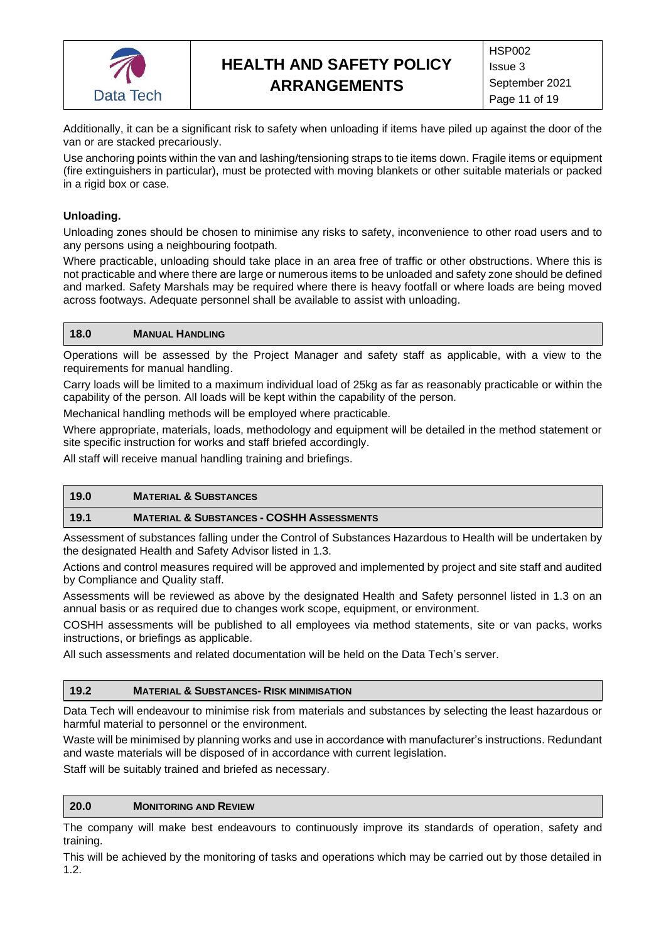

Additionally, it can be a significant risk to safety when unloading if items have piled up against the door of the van or are stacked precariously.

Use anchoring points within the van and lashing/tensioning straps to tie items down. Fragile items or equipment (fire extinguishers in particular), must be protected with moving blankets or other suitable materials or packed in a rigid box or case.

### **Unloading.**

Unloading zones should be chosen to minimise any risks to safety, inconvenience to other road users and to any persons using a neighbouring footpath.

Where practicable, unloading should take place in an area free of traffic or other obstructions. Where this is not practicable and where there are large or numerous items to be unloaded and safety zone should be defined and marked. Safety Marshals may be required where there is heavy footfall or where loads are being moved across footways. Adequate personnel shall be available to assist with unloading.

#### <span id="page-10-0"></span>**18.0 MANUAL HANDLING**

Operations will be assessed by the Project Manager and safety staff as applicable, with a view to the requirements for manual handling.

Carry loads will be limited to a maximum individual load of 25kg as far as reasonably practicable or within the capability of the person. All loads will be kept within the capability of the person.

Mechanical handling methods will be employed where practicable.

Where appropriate, materials, loads, methodology and equipment will be detailed in the method statement or site specific instruction for works and staff briefed accordingly.

All staff will receive manual handling training and briefings.

### <span id="page-10-1"></span>**19.0 MATERIAL & SUBSTANCES**

#### **19.1 MATERIAL & SUBSTANCES - COSHH ASSESSMENTS**

Assessment of substances falling under the Control of Substances Hazardous to Health will be undertaken by the designated Health and Safety Advisor listed in 1.3.

Actions and control measures required will be approved and implemented by project and site staff and audited by Compliance and Quality staff.

Assessments will be reviewed as above by the designated Health and Safety personnel listed in 1.3 on an annual basis or as required due to changes work scope, equipment, or environment.

COSHH assessments will be published to all employees via method statements, site or van packs, works instructions, or briefings as applicable.

All such assessments and related documentation will be held on the Data Tech's server.

#### **19.2 MATERIAL & SUBSTANCES- RISK MINIMISATION**

Data Tech will endeavour to minimise risk from materials and substances by selecting the least hazardous or harmful material to personnel or the environment.

Waste will be minimised by planning works and use in accordance with manufacturer's instructions. Redundant and waste materials will be disposed of in accordance with current legislation.

Staff will be suitably trained and briefed as necessary.

#### <span id="page-10-2"></span>**20.0 MONITORING AND REVIEW**

The company will make best endeavours to continuously improve its standards of operation, safety and training.

This will be achieved by the monitoring of tasks and operations which may be carried out by those detailed in 1.2.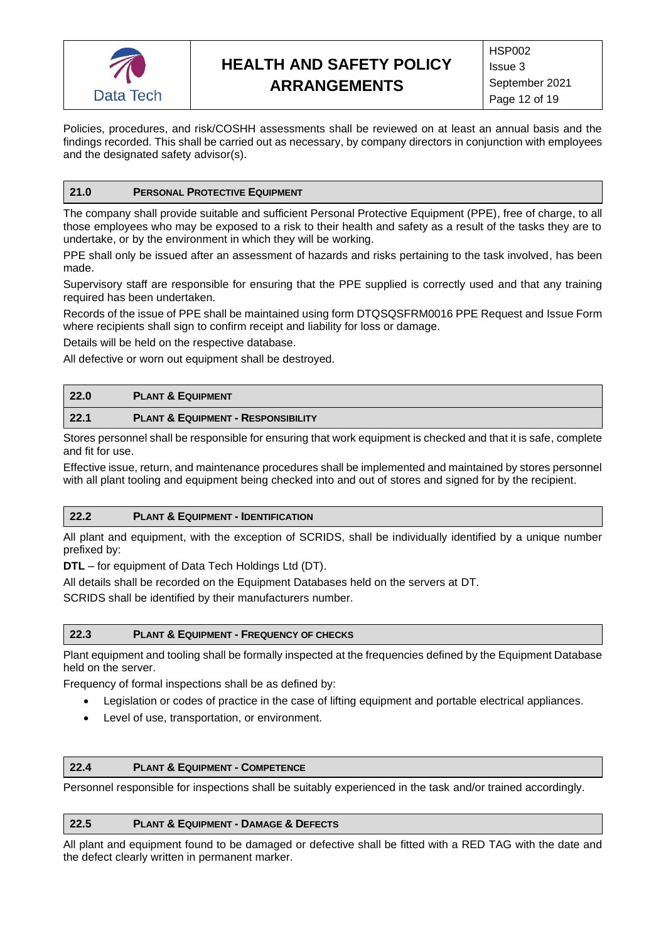

Policies, procedures, and risk/COSHH assessments shall be reviewed on at least an annual basis and the findings recorded. This shall be carried out as necessary, by company directors in conjunction with employees and the designated safety advisor(s).

#### <span id="page-11-0"></span>**21.0 PERSONAL PROTECTIVE EQUIPMENT**

The company shall provide suitable and sufficient Personal Protective Equipment (PPE), free of charge, to all those employees who may be exposed to a risk to their health and safety as a result of the tasks they are to undertake, or by the environment in which they will be working.

PPE shall only be issued after an assessment of hazards and risks pertaining to the task involved, has been made.

Supervisory staff are responsible for ensuring that the PPE supplied is correctly used and that any training required has been undertaken.

Records of the issue of PPE shall be maintained using form DTQSQSFRM0016 PPE Request and Issue Form where recipients shall sign to confirm receipt and liability for loss or damage.

Details will be held on the respective database.

All defective or worn out equipment shall be destroyed.

<span id="page-11-1"></span>

| 22.0 | <b>PLANT &amp; EQUIPMENT</b>                  |
|------|-----------------------------------------------|
| 22.1 | <b>PLANT &amp; EQUIPMENT - RESPONSIBILITY</b> |

Stores personnel shall be responsible for ensuring that work equipment is checked and that it is safe, complete and fit for use.

Effective issue, return, and maintenance procedures shall be implemented and maintained by stores personnel with all plant tooling and equipment being checked into and out of stores and signed for by the recipient.

#### **22.2 PLANT & EQUIPMENT - IDENTIFICATION**

All plant and equipment, with the exception of SCRIDS, shall be individually identified by a unique number prefixed by:

**DTL** – for equipment of Data Tech Holdings Ltd (DT).

All details shall be recorded on the Equipment Databases held on the servers at DT.

SCRIDS shall be identified by their manufacturers number.

#### **22.3 PLANT & EQUIPMENT - FREQUENCY OF CHECKS**

Plant equipment and tooling shall be formally inspected at the frequencies defined by the Equipment Database held on the server.

Frequency of formal inspections shall be as defined by:

- Legislation or codes of practice in the case of lifting equipment and portable electrical appliances.
- Level of use, transportation, or environment.

### **22.4 PLANT & EQUIPMENT - COMPETENCE**

Personnel responsible for inspections shall be suitably experienced in the task and/or trained accordingly.

#### **22.5 PLANT & EQUIPMENT - DAMAGE & DEFECTS**

All plant and equipment found to be damaged or defective shall be fitted with a RED TAG with the date and the defect clearly written in permanent marker.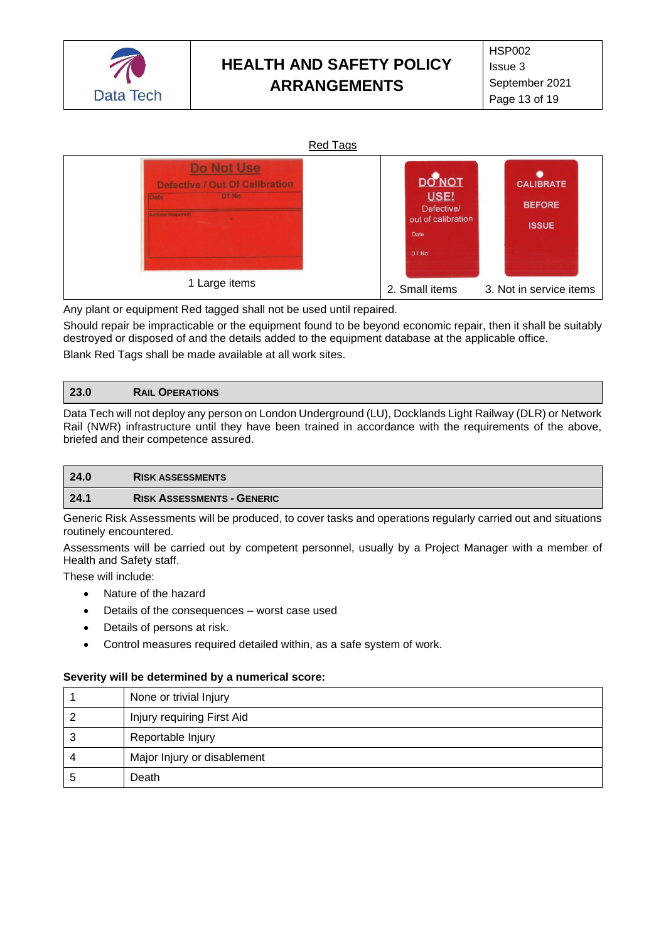



Any plant or equipment Red tagged shall not be used until repaired.

Should repair be impracticable or the equipment found to be beyond economic repair, then it shall be suitably destroyed or disposed of and the details added to the equipment database at the applicable office. Blank Red Tags shall be made available at all work sites.

#### <span id="page-12-0"></span>**23.0 RAIL OPERATIONS**

Data Tech will not deploy any person on London Underground (LU), Docklands Light Railway (DLR) or Network Rail (NWR) infrastructure until they have been trained in accordance with the requirements of the above, briefed and their competence assured.

<span id="page-12-1"></span>

| 24.0                                                                                                                             | <b>RISK ASSESSMENTS</b>           |
|----------------------------------------------------------------------------------------------------------------------------------|-----------------------------------|
| 24.1                                                                                                                             | <b>RISK ASSESSMENTS - GENERIC</b> |
| $\bigcap$ . In the $\bigcap$ of $\bigcap$ is the second of the second second second second second the second second state second |                                   |

Generic Risk Assessments will be produced, to cover tasks and operations regularly carried out and situations routinely encountered.

Assessments will be carried out by competent personnel, usually by a Project Manager with a member of Health and Safety staff.

These will include:

- Nature of the hazard
- Details of the consequences worst case used
- Details of persons at risk.
- Control measures required detailed within, as a safe system of work.

#### **Severity will be determined by a numerical score:**

|   | None or trivial Injury      |
|---|-----------------------------|
|   | Injury requiring First Aid  |
| Q | Reportable Injury           |
| 4 | Major Injury or disablement |
|   | Death                       |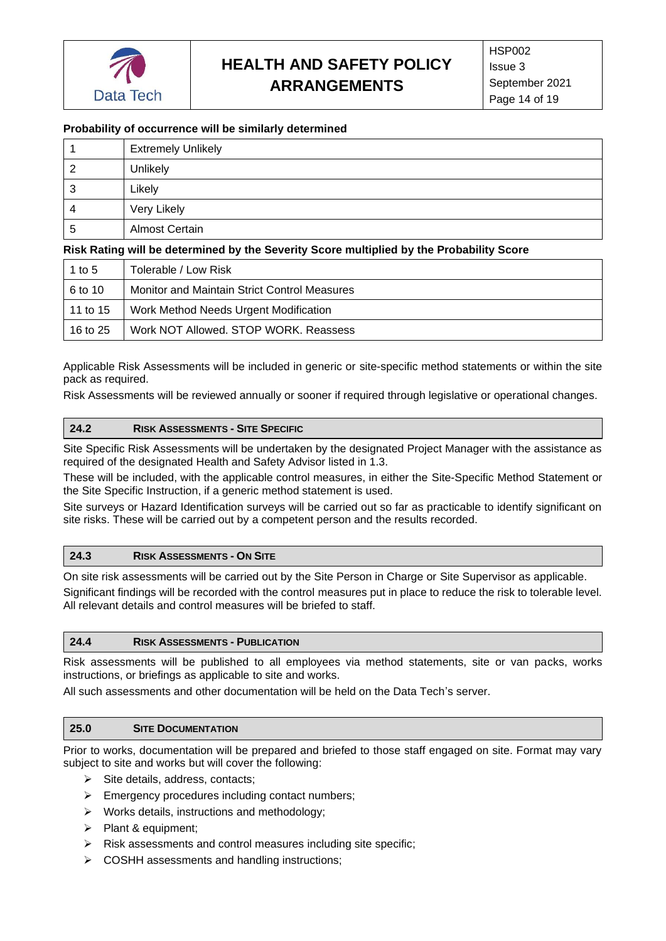

## **Probability of occurrence will be similarly determined**

|        | <b>Extremely Unlikely</b> |
|--------|---------------------------|
|        | <b>Unlikely</b>           |
| ົ<br>J | Likely                    |
|        | Very Likely               |
| 5      | Almost Certain            |

#### **Risk Rating will be determined by the Severity Score multiplied by the Probability Score**

| 1 to 5   | Tolerable / Low Risk                         |
|----------|----------------------------------------------|
| 6 to 10  | Monitor and Maintain Strict Control Measures |
| 11 to 15 | Work Method Needs Urgent Modification        |
| 16 to 25 | Work NOT Allowed, STOP WORK, Reassess        |

Applicable Risk Assessments will be included in generic or site-specific method statements or within the site pack as required.

Risk Assessments will be reviewed annually or sooner if required through legislative or operational changes.

#### **24.2 RISK ASSESSMENTS - SITE SPECIFIC**

Site Specific Risk Assessments will be undertaken by the designated Project Manager with the assistance as required of the designated Health and Safety Advisor listed in 1.3.

These will be included, with the applicable control measures, in either the Site-Specific Method Statement or the Site Specific Instruction, if a generic method statement is used.

Site surveys or Hazard Identification surveys will be carried out so far as practicable to identify significant on site risks. These will be carried out by a competent person and the results recorded.

#### **24.3 RISK ASSESSMENTS - ON SITE**

On site risk assessments will be carried out by the Site Person in Charge or Site Supervisor as applicable.

Significant findings will be recorded with the control measures put in place to reduce the risk to tolerable level. All relevant details and control measures will be briefed to staff.

#### **24.4 RISK ASSESSMENTS - PUBLICATION**

Risk assessments will be published to all employees via method statements, site or van packs, works instructions, or briefings as applicable to site and works.

All such assessments and other documentation will be held on the Data Tech's server.

#### <span id="page-13-0"></span>**25.0 SITE DOCUMENTATION**

Prior to works, documentation will be prepared and briefed to those staff engaged on site. Format may vary subject to site and works but will cover the following:

- $\triangleright$  Site details, address, contacts;
- ➢ Emergency procedures including contact numbers;
- ➢ Works details, instructions and methodology;
- ➢ Plant & equipment;
- ➢ Risk assessments and control measures including site specific;
- ➢ COSHH assessments and handling instructions;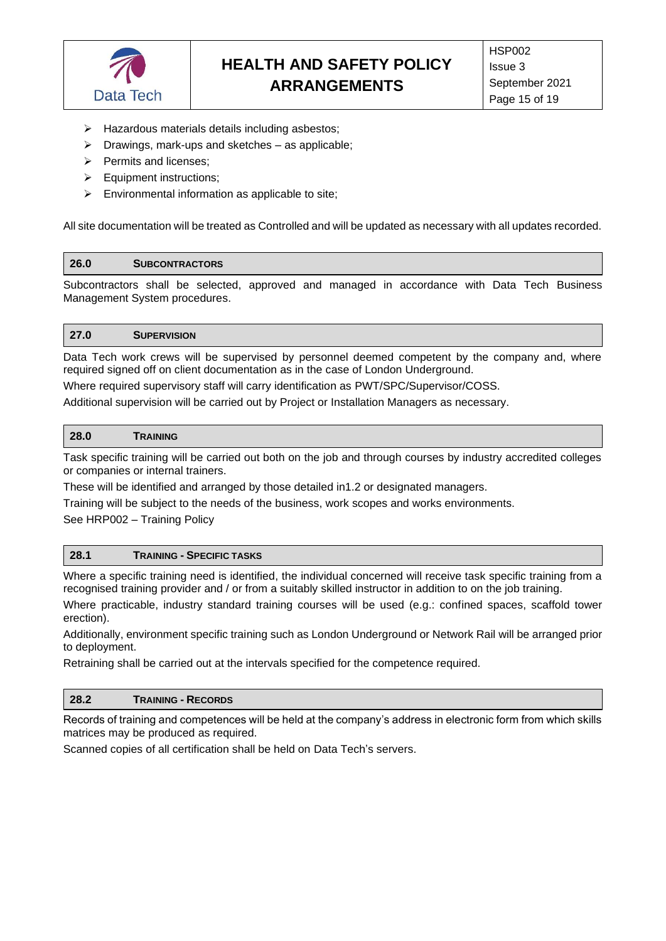

- ➢ Hazardous materials details including asbestos;
- $\triangleright$  Drawings, mark-ups and sketches as applicable;
- ➢ Permits and licenses;
- ➢ Equipment instructions;
- $\triangleright$  Environmental information as applicable to site;

All site documentation will be treated as Controlled and will be updated as necessary with all updates recorded.

#### <span id="page-14-0"></span>**26.0 SUBCONTRACTORS**

Subcontractors shall be selected, approved and managed in accordance with Data Tech Business Management System procedures.

#### <span id="page-14-1"></span>**27.0 SUPERVISION**

Data Tech work crews will be supervised by personnel deemed competent by the company and, where required signed off on client documentation as in the case of London Underground.

Where required supervisory staff will carry identification as PWT/SPC/Supervisor/COSS.

Additional supervision will be carried out by Project or Installation Managers as necessary.

#### <span id="page-14-2"></span>**28.0 TRAINING**

Task specific training will be carried out both on the job and through courses by industry accredited colleges or companies or internal trainers.

These will be identified and arranged by those detailed in1.2 or designated managers.

Training will be subject to the needs of the business, work scopes and works environments.

See HRP002 – Training Policy

#### **28.1 TRAINING - SPECIFIC TASKS**

Where a specific training need is identified, the individual concerned will receive task specific training from a recognised training provider and / or from a suitably skilled instructor in addition to on the job training.

Where practicable, industry standard training courses will be used (e.g.: confined spaces, scaffold tower erection).

Additionally, environment specific training such as London Underground or Network Rail will be arranged prior to deployment.

Retraining shall be carried out at the intervals specified for the competence required.

#### **28.2 TRAINING - RECORDS**

Records of training and competences will be held at the company's address in electronic form from which skills matrices may be produced as required.

Scanned copies of all certification shall be held on Data Tech's servers.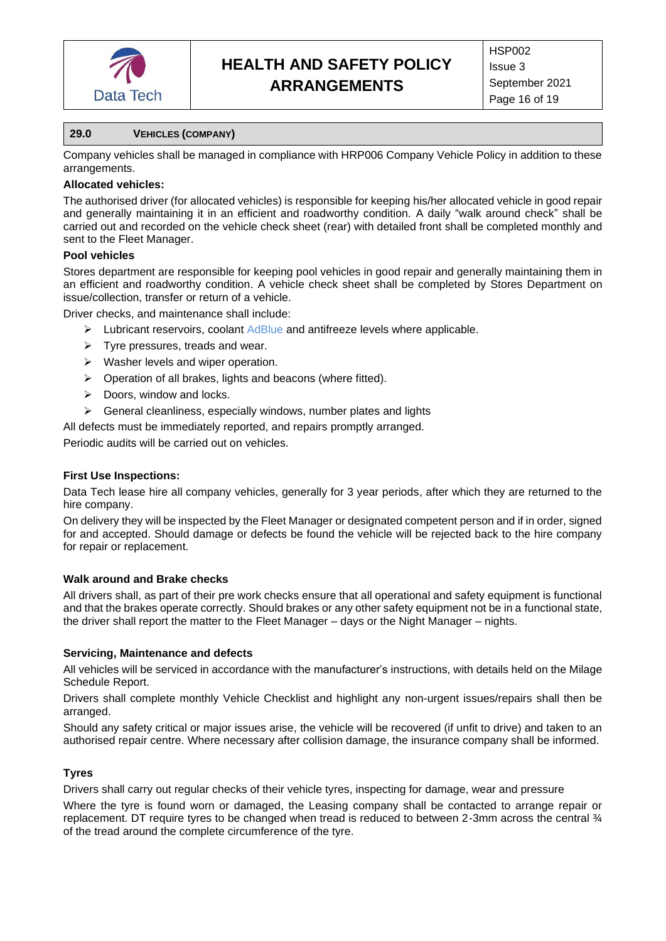

### <span id="page-15-0"></span>**29.0 VEHICLES (COMPANY)**

Company vehicles shall be managed in compliance with HRP006 Company Vehicle Policy in addition to these arrangements.

### **Allocated vehicles:**

The authorised driver (for allocated vehicles) is responsible for keeping his/her allocated vehicle in good repair and generally maintaining it in an efficient and roadworthy condition. A daily "walk around check" shall be carried out and recorded on the vehicle check sheet (rear) with detailed front shall be completed monthly and sent to the Fleet Manager.

### **Pool vehicles**

Stores department are responsible for keeping pool vehicles in good repair and generally maintaining them in an efficient and roadworthy condition. A vehicle check sheet shall be completed by Stores Department on issue/collection, transfer or return of a vehicle.

Driver checks, and maintenance shall include:

- $\triangleright$  Lubricant reservoirs, coolant AdBlue and antifreeze levels where applicable.
- $\triangleright$  Tyre pressures, treads and wear.
- ➢ Washer levels and wiper operation.
- ➢ Operation of all brakes, lights and beacons (where fitted).
- $\triangleright$  Doors, window and locks.
- $\triangleright$  General cleanliness, especially windows, number plates and lights
- All defects must be immediately reported, and repairs promptly arranged.

Periodic audits will be carried out on vehicles.

### **First Use Inspections:**

Data Tech lease hire all company vehicles, generally for 3 year periods, after which they are returned to the hire company.

On delivery they will be inspected by the Fleet Manager or designated competent person and if in order, signed for and accepted. Should damage or defects be found the vehicle will be rejected back to the hire company for repair or replacement.

### **Walk around and Brake checks**

All drivers shall, as part of their pre work checks ensure that all operational and safety equipment is functional and that the brakes operate correctly. Should brakes or any other safety equipment not be in a functional state, the driver shall report the matter to the Fleet Manager – days or the Night Manager – nights.

### **Servicing, Maintenance and defects**

All vehicles will be serviced in accordance with the manufacturer's instructions, with details held on the Milage Schedule Report.

Drivers shall complete monthly Vehicle Checklist and highlight any non-urgent issues/repairs shall then be arranged.

Should any safety critical or major issues arise, the vehicle will be recovered (if unfit to drive) and taken to an authorised repair centre. Where necessary after collision damage, the insurance company shall be informed.

### **Tyres**

Drivers shall carry out regular checks of their vehicle tyres, inspecting for damage, wear and pressure

Where the tyre is found worn or damaged, the Leasing company shall be contacted to arrange repair or replacement. DT require tyres to be changed when tread is reduced to between 2-3mm across the central ¾ of the tread around the complete circumference of the tyre.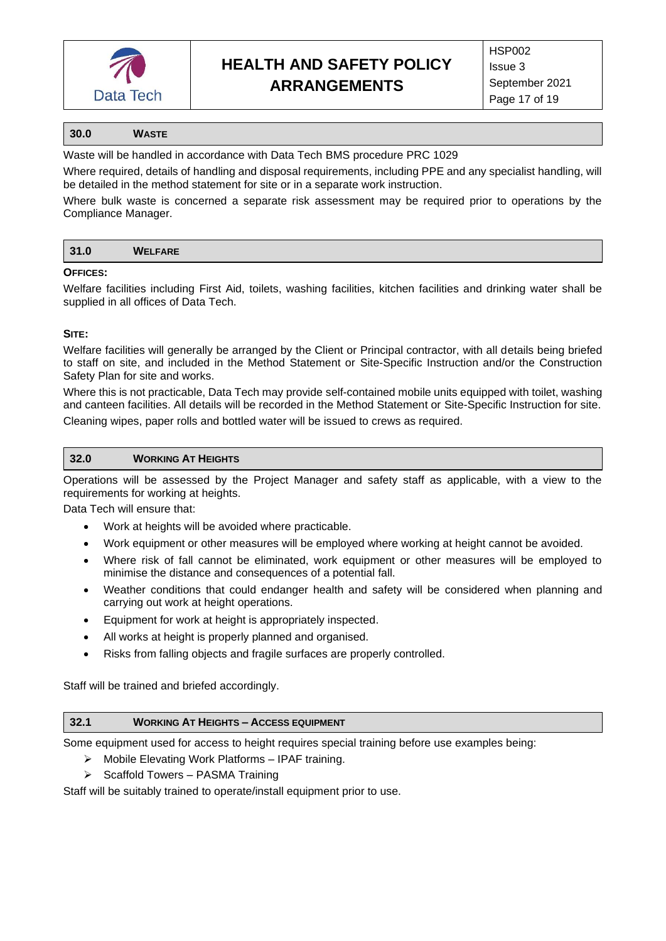

#### <span id="page-16-0"></span>**30.0 WASTE**

Waste will be handled in accordance with Data Tech BMS procedure PRC 1029

Where required, details of handling and disposal requirements, including PPE and any specialist handling, will be detailed in the method statement for site or in a separate work instruction.

Where bulk waste is concerned a separate risk assessment may be required prior to operations by the Compliance Manager.

<span id="page-16-1"></span>

| -94<br><b>JI.U</b> | <b>WELFARE</b> |
|--------------------|----------------|
|                    |                |

#### **OFFICES:**

Welfare facilities including First Aid, toilets, washing facilities, kitchen facilities and drinking water shall be supplied in all offices of Data Tech.

#### **SITE:**

Welfare facilities will generally be arranged by the Client or Principal contractor, with all details being briefed to staff on site, and included in the Method Statement or Site-Specific Instruction and/or the Construction Safety Plan for site and works.

Where this is not practicable, Data Tech may provide self-contained mobile units equipped with toilet, washing and canteen facilities. All details will be recorded in the Method Statement or Site-Specific Instruction for site. Cleaning wipes, paper rolls and bottled water will be issued to crews as required.

#### <span id="page-16-2"></span>**32.0 WORKING AT HEIGHTS**

Operations will be assessed by the Project Manager and safety staff as applicable, with a view to the requirements for working at heights.

Data Tech will ensure that:

- Work at heights will be avoided where practicable.
- Work equipment or other measures will be employed where working at height cannot be avoided.
- Where risk of fall cannot be eliminated, work equipment or other measures will be employed to minimise the distance and consequences of a potential fall.
- Weather conditions that could endanger health and safety will be considered when planning and carrying out work at height operations.
- Equipment for work at height is appropriately inspected.
- All works at height is properly planned and organised.
- Risks from falling objects and fragile surfaces are properly controlled.

Staff will be trained and briefed accordingly.

#### **32.1 WORKING AT HEIGHTS – ACCESS EQUIPMENT**

Some equipment used for access to height requires special training before use examples being:

- ➢ Mobile Elevating Work Platforms IPAF training.
- ➢ Scaffold Towers PASMA Training

Staff will be suitably trained to operate/install equipment prior to use.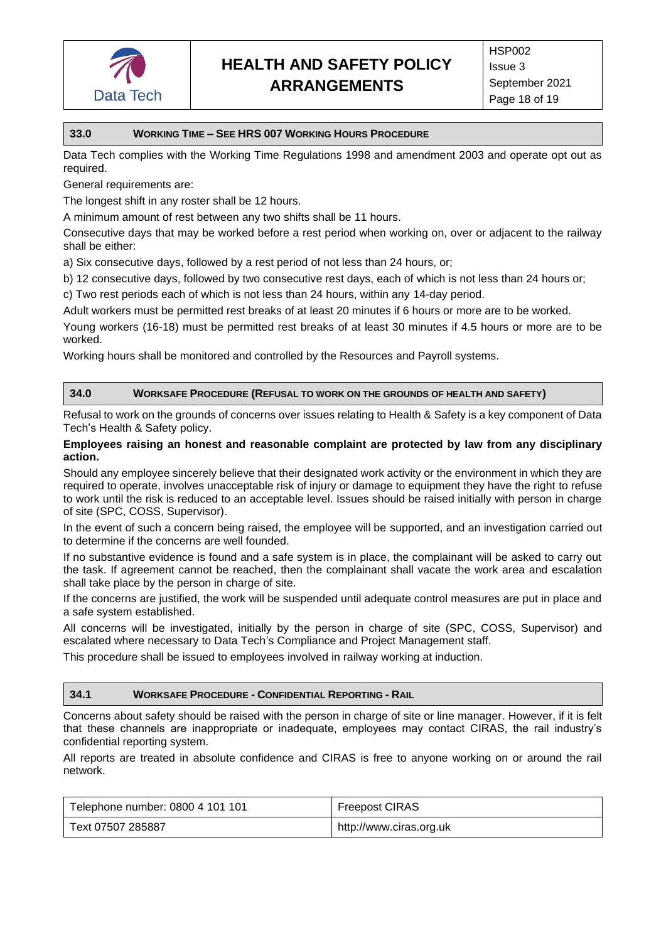

#### <span id="page-17-0"></span>**33.0 WORKING TIME – SEE HRS 007 WORKING HOURS PROCEDURE**

Data Tech complies with the Working Time Regulations 1998 and amendment 2003 and operate opt out as required.

General requirements are:

The longest shift in any roster shall be 12 hours.

A minimum amount of rest between any two shifts shall be 11 hours.

Consecutive days that may be worked before a rest period when working on, over or adjacent to the railway shall be either:

a) Six consecutive days, followed by a rest period of not less than 24 hours, or;

b) 12 consecutive days, followed by two consecutive rest days, each of which is not less than 24 hours or;

c) Two rest periods each of which is not less than 24 hours, within any 14-day period.

Adult workers must be permitted rest breaks of at least 20 minutes if 6 hours or more are to be worked.

Young workers (16-18) must be permitted rest breaks of at least 30 minutes if 4.5 hours or more are to be worked.

Working hours shall be monitored and controlled by the Resources and Payroll systems.

#### <span id="page-17-1"></span>**34.0 WORKSAFE PROCEDURE (REFUSAL TO WORK ON THE GROUNDS OF HEALTH AND SAFETY)**

Refusal to work on the grounds of concerns over issues relating to Health & Safety is a key component of Data Tech's Health & Safety policy.

#### **Employees raising an honest and reasonable complaint are protected by law from any disciplinary action.**

Should any employee sincerely believe that their designated work activity or the environment in which they are required to operate, involves unacceptable risk of injury or damage to equipment they have the right to refuse to work until the risk is reduced to an acceptable level. Issues should be raised initially with person in charge of site (SPC, COSS, Supervisor).

In the event of such a concern being raised, the employee will be supported, and an investigation carried out to determine if the concerns are well founded.

If no substantive evidence is found and a safe system is in place, the complainant will be asked to carry out the task. If agreement cannot be reached, then the complainant shall vacate the work area and escalation shall take place by the person in charge of site.

If the concerns are justified, the work will be suspended until adequate control measures are put in place and a safe system established.

All concerns will be investigated, initially by the person in charge of site (SPC, COSS, Supervisor) and escalated where necessary to Data Tech's Compliance and Project Management staff.

This procedure shall be issued to employees involved in railway working at induction.

#### <span id="page-17-2"></span>**34.1 WORKSAFE PROCEDURE - CONFIDENTIAL REPORTING - RAIL**

Concerns about safety should be raised with the person in charge of site or line manager. However, if it is felt that these channels are inappropriate or inadequate, employees may contact CIRAS, the rail industry's confidential reporting system.

All reports are treated in absolute confidence and CIRAS is free to anyone working on or around the rail network.

| Telephone number: 0800 4 101 101 | Freepost CIRAS          |
|----------------------------------|-------------------------|
| Text 07507 285887                | http://www.ciras.org.uk |